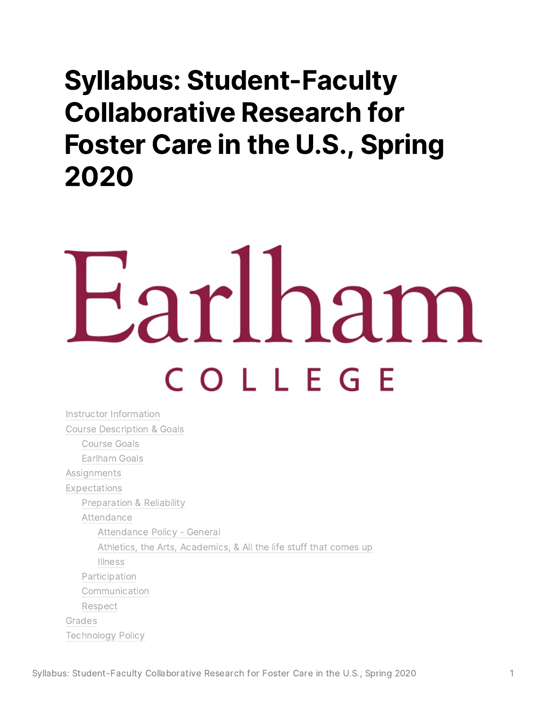# Syllabus: Student-Faculty Collaborative Research for Foster Care in the U.S., Spring 2020

# iarlham COLLEGE

Instructor [Information](#page-1-0) Course [Description](#page-1-1) & Goals [Course](#page-1-2) Goals [Earlham](#page-2-0) Goals **[Assignments](#page-2-1)** [Expectations](#page-3-0) [Preparation](#page-3-1) & Reliability [Attendance](#page-3-2) [Attendance](#page-3-3) Policy - General Athletics, the Arts, [Academics](#page-3-4), & All the life stuff that comes up [Illness](#page-4-0) [Participation](#page-4-1) [Communication](#page-4-2) [Respect](#page-4-3) [Grades](#page-5-0) [Technology](#page-5-1) Policy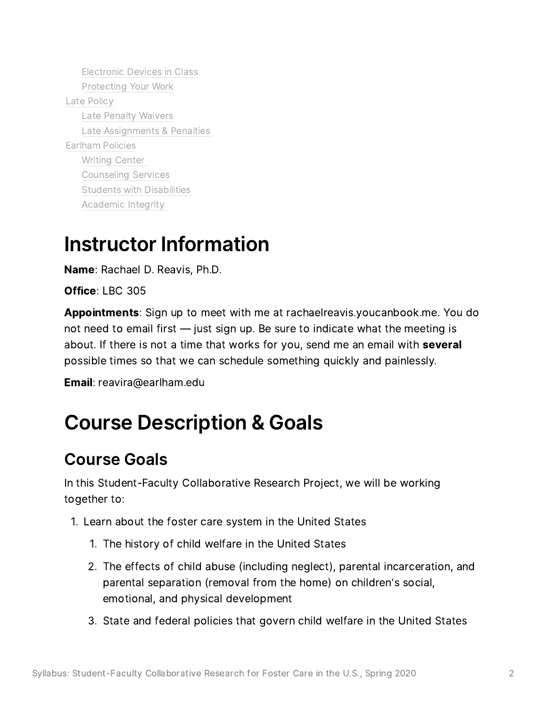[Electronic](#page-5-2) Devices in Class [Protecting](#page-5-3) Your Work Late [Policy](#page-6-0) Late Penalty [Waivers](#page-6-1) Late [Assignments](#page-7-0) & Penalties [Earlham](#page-8-0) Policies [Writing](#page-8-1) Center [Counseling](#page-8-2) Services Students with [Disabilities](#page-8-3) [Academic](#page-8-4) Integrity

## <span id="page-1-0"></span>Instructor Information

Name: Rachael D. Reavis, Ph.D.

Office: LBC <sup>305</sup>

Appointments: Sign up to meet with me at rachaelreavis.youcanbook.me. You do **Appointments**: Sign up to meet with me at rachaelreavis.youcanbook.me. You<br>not need to email first — just sign up. Be sure to indicate what the meeting is not need to email first — just sign up. Be sure to indicate what the meeting is<br>about. If there is not a time that works for you, send me an email with **several** about. If there is not a time that works for you, send me an email with **several** possible times so that we can schedule something quickly and painlessly.

Email: reavira@earlham.edu

## <span id="page-1-1"></span>Course Description & Goals

#### <span id="page-1-2"></span>Course Goals

In this Student-Faculty Collaborative Research Project, we will be working In this Stud<mark>e</mark><br>together to: together to:

Learn about the foster care system in the United States 1.

- 1. The history of child welfare in the United States
- The mstory of child weildre in the onited states<br>The effects of child abuse (including neglect), parental incarceration, and The effects of child abuse (including neglect), parental incarcerati<br>parental separation (removal from the home) on children's social, parental separation (removal from the home) on children's social, emotional, and physical development
- State and federal policies that govern child welfare in the United States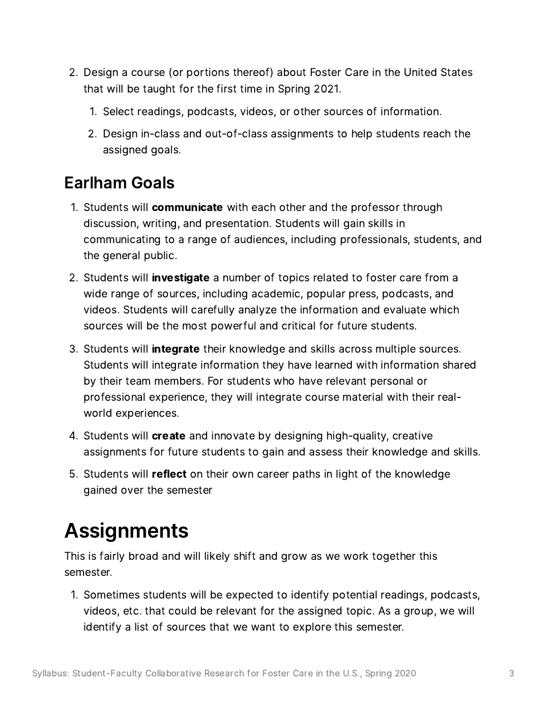- Design <sup>a</sup> course (or portions thereof) about Foster Care in the United States Design a course (or portions thereof) about Foster<br>that will be taught for the first time in Spring 2021. that will be taught for the first time in Spring 2021.
	- nat will be taught for the first time in Spring 2021.<br>1. Select readings, podcasts, videos, or other sources of information.
	- Select readings, poucasts, videos, or other sources or imormation.<br>Design in-class and out-of-class assignments to help students reach the Design in-class<br>assigned goals.

# <span id="page-2-0"></span>Earlham Goals 1.

- Students will **communicate** with each other and the professor through<br>discussion, writing, and presentation. Students will gain skills in discussion, writing, and presentation. Students will gain skills in<br>communicating to a range of audiences, including professionals, students, and communicating to<br>the general public.
- Students will investigate a number of topics related to foster care from a wide range of sources, including academic, popular press, podcasts, and wide range of sources, including academic, popular press, podcasts, and<br>videos. Students will carefully analyze the information and evaluate which sources will be the most powerful and critical for future students.
- 3. Students will integrate their knowledge and skills across multiple sources. Students will integrate information they have learned with information shared by their team members. For students who have relevant personal or by their team members. For students who have relevant personal or<br>professional experience, they will integrate course material with their realprofessional experi<br>world experiences.
- world experiences.<br>4. Students will **create** and innovate by designing high-quality, creative assignments for future students to gain and assess their knowledge and skills.
- 5. Students will reflect on their own career paths in light of the knowledge gained over the semester

# <span id="page-2-1"></span>Assignments

This is fairly broad and will likely shift and grow as we work together this semester. semester.

nester.<br>Sometimes students will be expected to identify potential readings, podcasts, Sometimes students will be expected to identify potential readings, podcasts<br>videos, etc. that could be relevant for the assigned topic. As a group, we will videos, etc. that could be relevant for the assigned topic. As a group, we will<br>identify a list of sources that we want to explore this semester.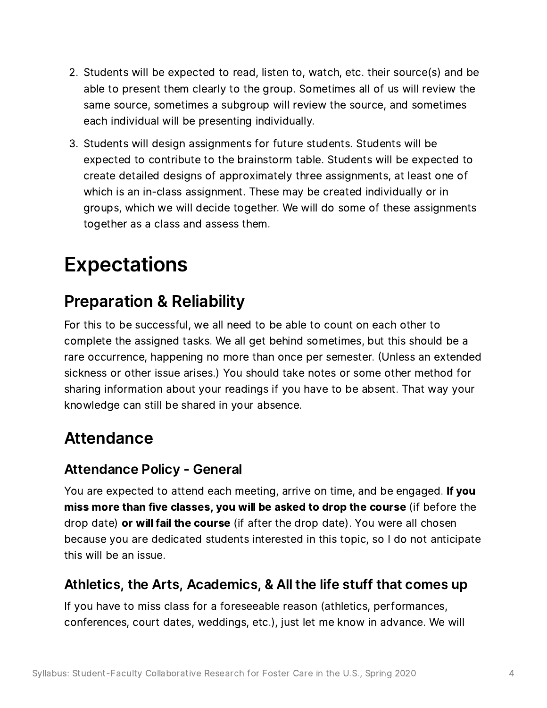- Students will be expected to read, listen to, watch, etc. their source(s) and be Students will be expected to read, listen to, watch, etc. their source(s) and be<br>able to present them clearly to the group. Sometimes all of us will review the able to present them clearly to the group. Sometimes all of us will review the<br>same source, sometimes a subgroup will review the source, and sometimes each individual will be presenting individually.
- Students will design assignments for future students. Students will be expected to contribute to the brainstorm table. Students will be expected to expected to contribute to the brainstorm table. Students will be expected to<br>create detailed designs of approximately three assignments, at least one of create detailed designs of approximately three assignments, at least one<br>which is an in-class assignment. These may be created individually or in which is an in-class assignment. These may be created individually or in<br>groups, which we will decide together. We will do some of these assignments together as <sup>a</sup> class and assess them.

# <span id="page-3-0"></span>Expectations

#### <span id="page-3-1"></span>Preparation & Reliability

For this to be successful, we all need to be able to count on each other to complete the assigned tasks. We all get behind sometimes, but this should be <sup>a</sup> complete the assigned tasks. We all get behind sometimes, but this should be a<br>rare occurrence, happening no more than once per semester. (Unless an extended rare occurrence, happening no more than once per semester. (Unless an extende<br>sickness or other issue arises.) You should take notes or some other method for sickness or other issue arises.) You should take notes or some other method for<br>sharing information about your readings if you have to be absent. That way your knowledge can still be shared in your absence.

#### <span id="page-3-2"></span>Attendance

#### <span id="page-3-3"></span>Attendance Policy - General

Atteridarice Policy - Gerierar<br>You are expected to attend each meeting, arrive on time, and be engaged. **If you** You are expected to attend each meeting, arrive on time, and be engaged. **If you**<br>**miss more than five classes, you will be asked to drop the course** (if before the **miss more than five classes, you will be asked to drop the course** (if before the drop date) **or will fail the course** (if after the drop date). You were all chosen drop date) **or will fail the course** (if after the drop date). You were all chosen<br>because you are dedicated students interested in this topic, so I do not anticipate because you are de<br>this will be an issue.

#### <span id="page-3-4"></span>Athletics, the Arts, Academics, & All the life stuff that comes up

If you have to miss class for <sup>a</sup> foreseeable reason (athletics, performances, conferences, court dates, weddings, etc.), just let me know in advance. We will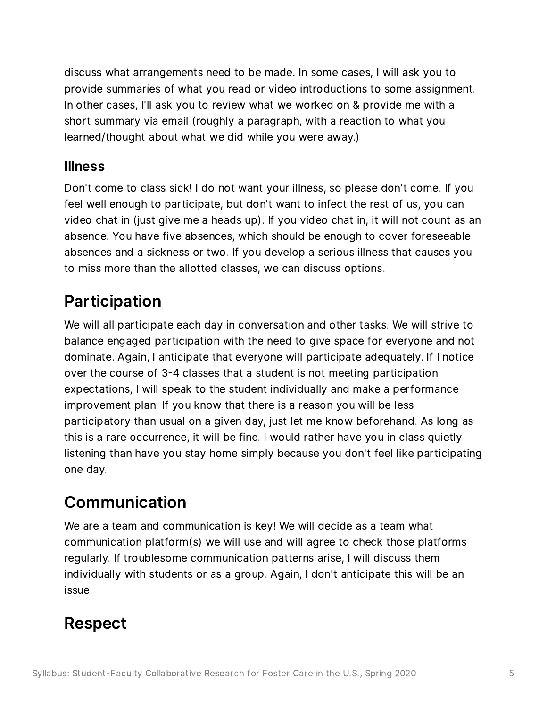discuss what arrangements need to be made. In some cases, <sup>I</sup> will ask you to discuss what arrangements need to be made. In some cases, I will ask you to<br>provide summaries of what you read or video introductions to some assignment. provide summaries of what you read or video introductions to some assignm<br>In other cases, I'll ask you to review what we worked on & provide me with a In other cases, I'll ask you to review what we worked on & provide me with a short summary via email (roughly a paragraph, with a reaction to what you<br>learned/thought about what we did while you were away.)

#### <span id="page-4-0"></span>Illness

**niness**<br>Don't come to class sick! I do not want your illness, so please don't come. If you Don't come to class sick! I do not want your illness, so please don't come. If yo<br>feel well enough to participate, but don't want to infect the rest of us, you can feel well enough to participate, but don't want to infect the rest of us, you can<br>video chat in (just give me a heads up). If you video chat in, it will not count as an video chat in (just give me a heads up). If you video chat in, it will not count as a<br>absence. You have five absences, which should be enough to cover foreseeable absence. You have five absences, which should be enough to cover foreseeable absences and a sickness or two. If you develop a serious illness that causes you to miss more than the allotted classes, we can discuss options.

#### <span id="page-4-1"></span>Participation

We will all participate each day in conversation and other tasks. We will strive to balance engaged participation with the need to give space for everyone and not dominate. Again, <sup>I</sup> anticipate that everyone will participate adequately. If <sup>I</sup> notice dominate. Again, I anticipate that everyone will participate adequately. If I notice over the course of 3-4 classes that a student is not meeting participation expectations, I will speak to the student individually and make a performance<br>improvement plan. If you know that there is a reason you will be less participatory than usual on <sup>a</sup> given day, just let me know beforehand. As long as this is <sup>a</sup> rare occurrence, it will be fine. <sup>I</sup> would rather have you in class quietly listening than have you stay home simply because you don't feel like participating one day.

#### <span id="page-4-2"></span>Communication

We are <sup>a</sup> team and communication is key! We will decide as <sup>a</sup> team what We are a team and communication is key! We will decide as a team what<br>communication platform(s) we will use and will agree to check those platforms communication platform(s) we will use and will agree to check those platforms reqularly. If troublesome communication patterns arise, I will discuss them regularly. If troublesome communication patterns arise, I will discuss them<br>individually with students or as a group. Again, I don't anticipate this will be an individ<br>issue.

#### <span id="page-4-3"></span>Respect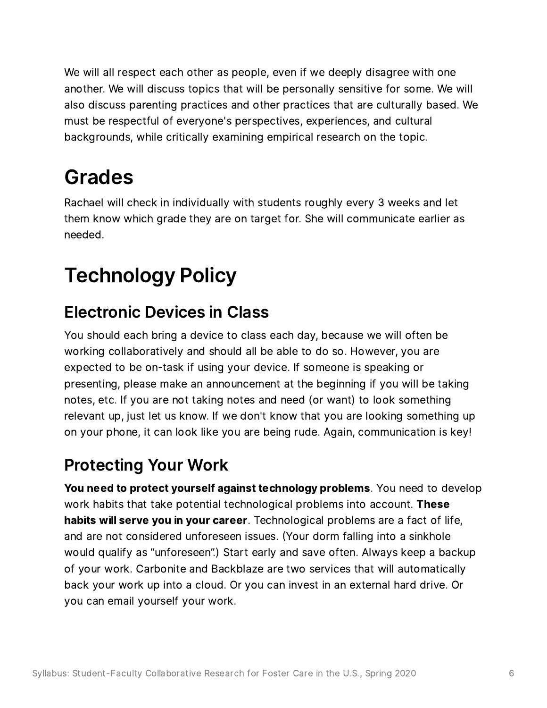We will all respect each other as people, even if we deeply disagree with one another. We will discuss topics that will be personally sensitive for some. We will another. We will discuss topics that will be personally sensitive for some. We will<br>also discuss parenting practices and other practices that are culturally based. We also discuss parenting practices and other practices that are culturally b<br>must be respectful of everyone's perspectives, experiences, and cultural must be respectful of everyone's perspectives, experiences, and cultural backgrounds, while critically examining empirical research on the topic.

# <span id="page-5-0"></span>Grades

Rachael will check in individually with students roughly every <sup>3</sup> weeks and let Rachael will check in individually with students roughly every 3 weeks and let<br>them know which grade they are on target for. She will communicate earlier as them know which grade they are on target for. She will communicate earlier as needed.

# <span id="page-5-1"></span>Technology Policy

#### <span id="page-5-2"></span>Electronic Devices in Class

You should each bring <sup>a</sup> device to class each day, because we will often be You should each bring a device to class each day, because we will often b<br>working collaboratively and should all be able to do so. However, you are working collaboratively and should all be able to do so. However, you are<br>expected to be on-task if using your device. If someone is speaking or expected to be on-task if using your device. If someone is speaking or<br>presenting, please make an announcement at the beginning if you will be taking presenting, please make an announcement at the beginning if you will be tak<br>notes, etc. If you are not taking notes and need (or want) to look something notes, etc. If you are not taking notes and need (or want) to look something<br>relevant up, just let us know. If we don't know that you are looking something up relevant up, just let us know. If we don't know that you are looking something up<br>on your phone, it can look like you are being rude. Again, communication is key!

#### <span id="page-5-3"></span>Protecting Your Work

r rotecting frour work<br>You need to protect yourself against technology problems. You need to develop **You need to protect yourself against technology problems**. You need to de<br>work habits that take potential technological problems into account. **These** work habits that take potential technological problems into account. **These**<br>**habits will serve you in your career**. Technological problems are a fact of life, **habits will serve you in your career**. Technological problems are a fact of lif<br>and are not considered unforeseen issues. (Your dorm falling into a sinkhole and are not considered unforeseen issues. (Your dorm falling into a sinkhole would qualify as "unforeseen".) Start early and save often. Always keep a backup<br>of your work. Carbonite and Backblaze are two services that will automatically of your work. Carbonite and Backblaze are two services that will automatically<br>back your work up into a cloud. Or you can invest in an external hard drive. Or back your work up into a cloud. O<br>you can email yourself your work.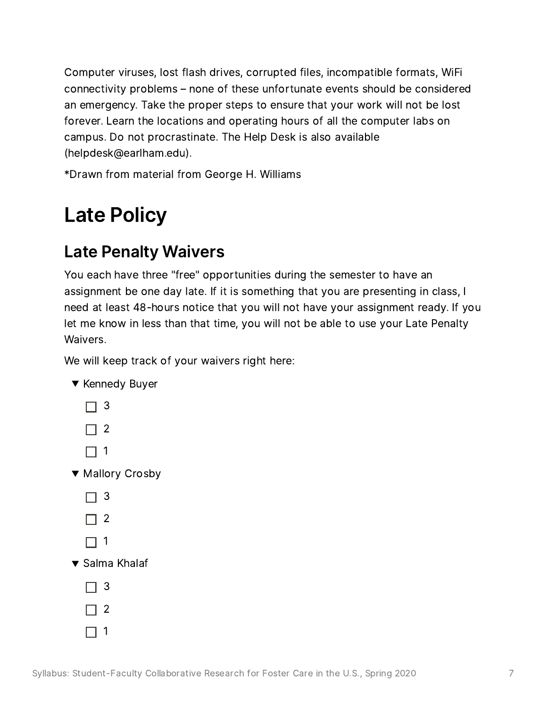Computer viruses, lost flash drives, corrupted files, incompatible formats, WiFi connectivity problems – none of these unfortunate events should be considered connectivity problems – none of these unfortunate events should be considere<br>an emergency. Take the proper steps to ensure that your work will not be lost an emergency. Take the proper steps to ensure that your work will not be lo<br>forever. Learn the locations and operating hours of all the computer labs on forever. Learn the locations and operating hours of all the computer labs on campus. Do not procrastinate. The Help Desk is also available (helpdesk@earlham.edu).

\*Drawn from material from George <sup>H</sup>. Williams

# <span id="page-6-0"></span>Late Policy

#### <span id="page-6-1"></span>Late Penalty Waivers

You each have three "free" opportunities during the semester to have an assignment be one day late. If it is something that you are presenting in class, <sup>I</sup> assignment be one day late. If it is something that you are presenting in class, I<br>need at least 48-hours notice that you will not have your assignment ready. If you need at least 48-hours notice that you will not have your assignment ready. If yo<br>let me know in less than that time, you will not be able to use your Late Penalty let me know in less than that time, you will not be able to use your Late Penalty<br>Waivers.

We will keep track of your waivers right here:

|                                 |          | e will keep track of your v |  |  |  |
|---------------------------------|----------|-----------------------------|--|--|--|
|                                 |          | ▼ Kennedy Buyer             |  |  |  |
|                                 | □ 3      |                             |  |  |  |
|                                 | $\Box$ 2 |                             |  |  |  |
|                                 | $\Box$ 1 |                             |  |  |  |
|                                 |          | ▼ Mallory Crosby            |  |  |  |
|                                 | $\Box$ 3 |                             |  |  |  |
|                                 | $\Box$ 2 |                             |  |  |  |
|                                 | $\Box$ 1 |                             |  |  |  |
| ▼ Salma Khalaf                  |          |                             |  |  |  |
|                                 | $\Box$ 3 |                             |  |  |  |
|                                 | $\Box$ 2 |                             |  |  |  |
|                                 | $\Box$ 1 |                             |  |  |  |
|                                 |          |                             |  |  |  |
| Student-Faculty Collaborative I |          |                             |  |  |  |

Syllabus: Student-Faculty Collaborative Research for Foster Care in the U.S., Spring 2020 7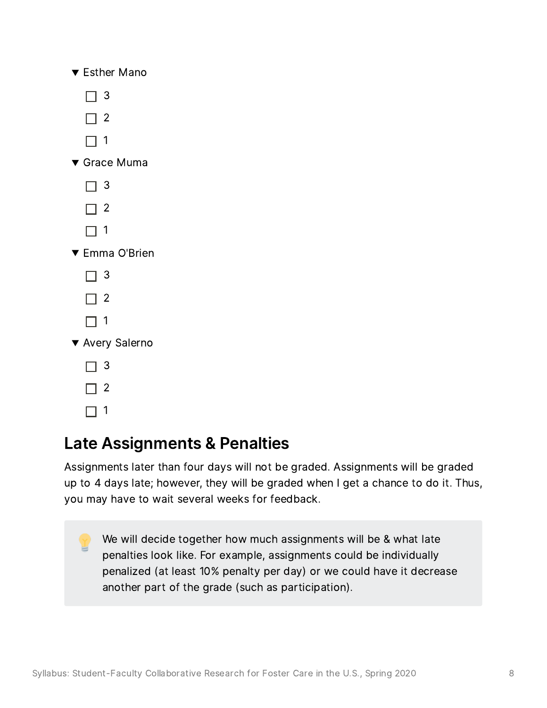| $\blacktriangledown$ Esther Mano |  |
|----------------------------------|--|
|                                  |  |

- $\Box$  3
- $\Box$  2
- $\Box$  1
- Grace Muma 3
	- $\Box$  3
	- $\Box$  2
	- $\Box$  1
- Emma O'Brien 3
	- $\Box$  3
	- $\Box$  2
	- $\Box$  1
- Avery Salerno 3
	- $\Box$  3
	- $\Box$  2
	- $\Box$  1

#### <span id="page-7-0"></span>Late Assignments & Penalties

Late Assignments & Penalties<br>Assignments later than four days will not be graded. Assignments will be graded Assignments later than four days will not be graded. Assignments will be graded<br>up to 4 days late; however, they will be graded when I get a chance to do it. Thus, up to 4 days late; however, they will be graded when I get a chance to do it. Thus, you may have to wait several weeks for feedback.

We will decide together how much assignments will be & what late penalties look like. For example, assignments could be individually penalties look like. For example, assignments could be individually<br>penalized (at least 10% penalty per day) or we could have it decrease penalized (at least 10% penalty per day) or we cc<br>another part of the grade (such as participation).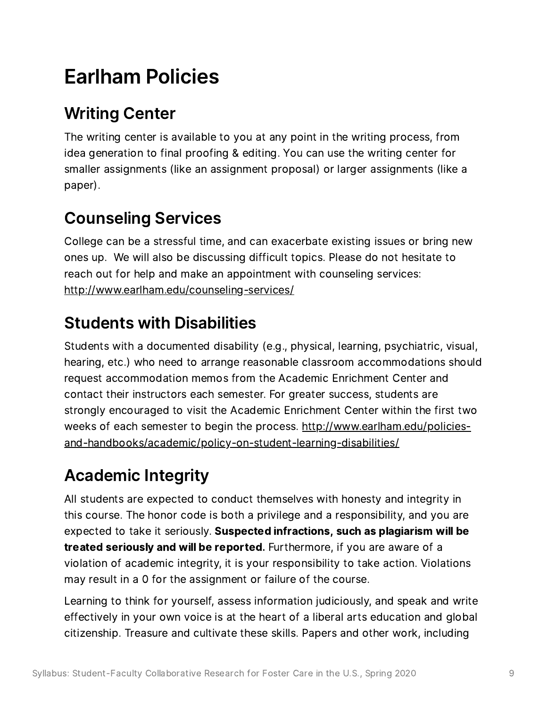# <span id="page-8-0"></span>Earlham Policies

## <span id="page-8-1"></span>Writing Center

**THITH CETTE:**<br>The writing center is available to you at any point in the writing process, from The writing center is available to you at any point in the writing process, from<br>idea generation to final proofing & editing. You can use the writing center for idea generation to final proofing & editing. You can use the writing center for smaller assignments (like an assignment proposal) or larger assignments (like a paper).

## <span id="page-8-2"></span>Counseling Services

College can be <sup>a</sup> stressful time, and can exacerbate existing issues or bring new College can be a stressful time, and can exacerbate existing issues or bring n<br>ones up. We will also be discussing difficult topics. Please do not hesitate to ones up. We will also be discussing difficult topics. Please do not hesitate to<br>reach out for help and make an appointment with counseling services: http://[www](http://www.earlham.edu/counseling-services/).[earlham](http://www.earlham.edu/counseling-services/).[edu](http://www.earlham.edu/counseling-services/)/[counseling](http://www.earlham.edu/counseling-services/)-[services](http://www.earlham.edu/counseling-services/)/

### <span id="page-8-3"></span>Students with Disabilities

Students with <sup>a</sup> documented disability (e.g., physical, learning, psychiatric, visual, Students with a documented disability (e.g., physical, learning, psychiatric, visual,<br>hearing, etc.) who need to arrange reasonable classroom accommodations should request accommodation memos from the Academic Enrichment Center and contact their instructors each semester. For greater success, students are strongly encouraged to visit the Academic Enrichment Center within the first two strongly encouraged to visit the Academic Enrichment Center within the first tw<br>weeks of each semester to begin the process. <u>http://www.earlham.edu/policies-</u> weeks of each semester to begin the process. <u>http://www.earlham</u><br><u>and[-handbooks/academic/policy-on-student-learning-disabilities/](http://www.earlham.edu/policies-and-handbooks/academic/policy-on-student-learning-disabilities/)</u>

## <span id="page-8-4"></span>Academic Integrity

All students are expected to conduct themselves with honesty and integrity in All students are expected to conduct themselves with honesty and integrity in<br>this course. The honor code is both a privilege and a responsibility, and you are this course. The honor code is both a privilege and a responsibility, and you are<br>expected to take it seriously. **Suspected infractions, such as plagiarism will be** expected to take it seriously. Suspected infractions, such as plagiarism will be treated seriously and will be reported. Furthermore, if you are aware of a violation of academic integrity, it is your responsibility to take action. Violations may result in <sup>a</sup> <sup>0</sup> for the assignment or failure of the course.

Learning to think for yourself, assess information judiciously, and speak and write effectively in your own voice is at the heart of a liberal arts education and global citizenship. Treasure and cultivate these skills. Papers and other work, including